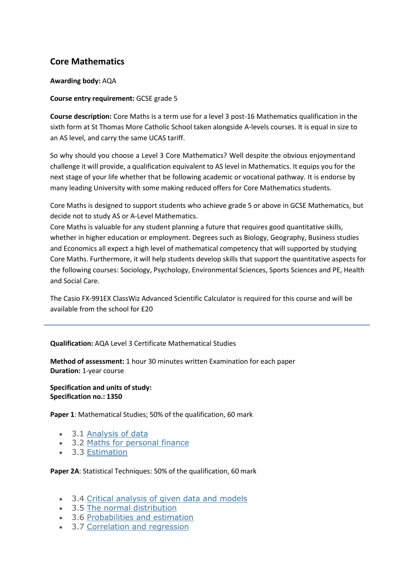# **Core Mathematics**

### **Awarding body:** AQA

### **Course entry requirement:** GCSE grade 5

**Course description:** Core Maths is a term use for a level 3 post-16 Mathematics qualification in the sixth form at St Thomas More Catholic School taken alongside A-levels courses. It is equal in size to an AS level, and carry the same UCAS tariff.

So why should you choose a Level 3 Core Mathematics? Well despite the obvious enjoymentand challenge it will provide, a qualification equivalent to AS level in Mathematics. It equips you for the next stage of your life whether that be following academic or vocational pathway. It is endorse by many leading University with some making reduced offers for Core Mathematics students.

Core Maths is designed to support students who achieve grade 5 or above in GCSE Mathematics, but decide not to study AS or A-Level Mathematics.

Core Maths is valuable for any student planning a future that requires good quantitative skills, whether in higher education or employment. Degrees such as Biology, Geography, Business studies and Economics all expect a high level of mathematical competency that will supported by studying Core Maths. Furthermore, it will help students develop skills that support the quantitative aspects for the following courses: Sociology, Psychology, Environmental Sciences, Sports Sciences and PE, Health and Social Care.

The Casio FX-991EX ClassWiz Advanced Scientific Calculator is required for this course and will be available from the school for £20

**Qualification:** AQA Level 3 Certificate Mathematical Studies

**Method of assessment:** 1 hour 30 minutes written Examination for each paper **Duration:** 1-year course

**Specification and units of study: Specification no.: 1350**

**Paper 1**: Mathematical Studies; 50% of the qualification, 60 mark

- 3.1 [Analysis of data](https://www.aqa.org.uk/subjects/mathematics/aqa-certificate/mathematical-studies-1350/subject-content/analysis-of-data)
- 3.2 [Maths for personal finance](https://www.aqa.org.uk/subjects/mathematics/aqa-certificate/mathematical-studies-1350/subject-content/maths-for-personal-finance)
- 3.3 [Estimation](https://www.aqa.org.uk/subjects/mathematics/aqa-certificate/mathematical-studies-1350/subject-content/estimation)

#### **Paper 2A**: Statistical Techniques: 50% of the qualification, 60 mark

- 3.4 [Critical analysis of given data and models](https://www.aqa.org.uk/subjects/mathematics/aqa-certificate/mathematical-studies-1350/subject-content/critical-analysis-of-given-data-and-models-including-spreadsheets-and-tabular-data)
- 3.5 [The normal distribution](https://www.aqa.org.uk/subjects/mathematics/aqa-certificate/mathematical-studies-1350/subject-content/the-normal-distribution)
- 3.6 [Probabilities and estimation](https://www.aqa.org.uk/subjects/mathematics/aqa-certificate/mathematical-studies-1350/subject-content/probabilities-and-estimation)
- 3.7 [Correlation and regression](https://www.aqa.org.uk/subjects/mathematics/aqa-certificate/mathematical-studies-1350/subject-content/correlation-and-regression)